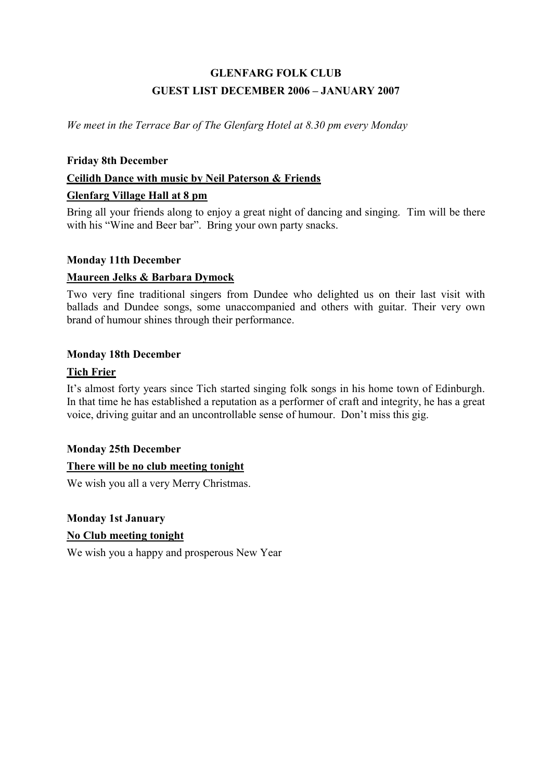# GLENFARG FOLK CLUB GUEST LIST DECEMBER 2006 – JANUARY 2007

We meet in the Terrace Bar of The Glenfarg Hotel at 8.30 pm every Monday

### Friday 8th December

# Ceilidh Dance with music by Neil Paterson & Friends

# Glenfarg Village Hall at 8 pm

Bring all your friends along to enjoy a great night of dancing and singing. Tim will be there with his "Wine and Beer bar". Bring your own party snacks.

### Monday 11th December

### Maureen Jelks & Barbara Dymock

Two very fine traditional singers from Dundee who delighted us on their last visit with ballads and Dundee songs, some unaccompanied and others with guitar. Their very own brand of humour shines through their performance.

# Monday 18th December

# Tich Frier

It's almost forty years since Tich started singing folk songs in his home town of Edinburgh. In that time he has established a reputation as a performer of craft and integrity, he has a great voice, driving guitar and an uncontrollable sense of humour. Don't miss this gig.

### Monday 25th December

### There will be no club meeting tonight

We wish you all a very Merry Christmas.

### Monday 1st January

# No Club meeting tonight

We wish you a happy and prosperous New Year